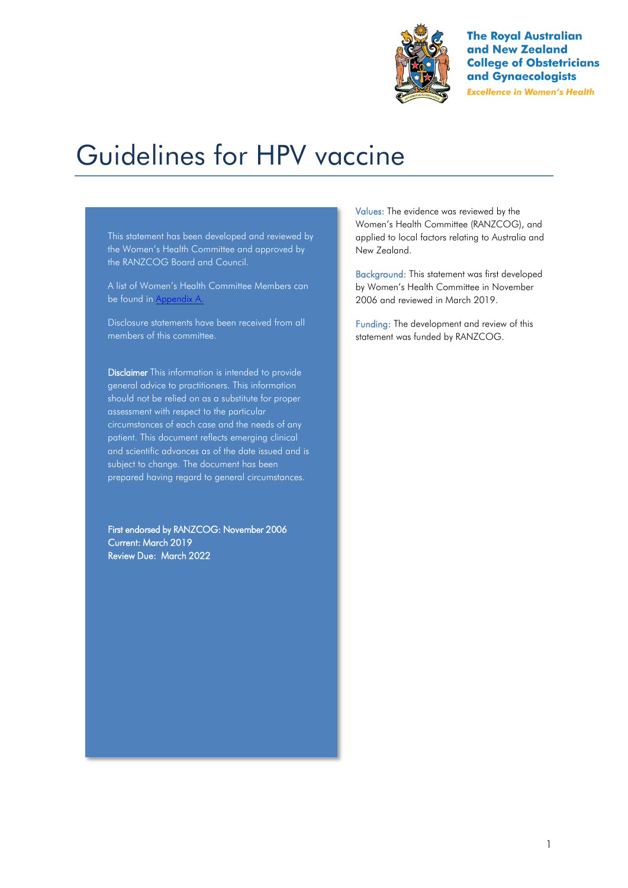

**The Royal Australian** and New Zealand **College of Obstetricians** and Gynaecologists **Excellence in Women's Health** 

# Guidelines for HPV vaccine

This statement has been developed and reviewed by the Women's Health Committee and approved by the RANZCOG Board and Council.

A list of Women's Health Committee Members can be found in Appendix A.

Disclosure statements have been received from all members of this committee.

Disclaimer This information is intended to provide general advice to practitioners. This information should not be relied on as a substitute for proper assessment with respect to the particular circumstances of each case and the needs of any patient. This document reflects emerging clinical and scientific advances as of the date issued and is subject to change. The document has been prepared having regard to general circumstances.

First endorsed by RANZCOG: November 2006 Current: March 2019 Review Due: March 2022

Values: The evidence was reviewed by the Women's Health Committee (RANZCOG), and applied to local factors relating to Australia and New Zealand.

Background: This statement was first developed by Women's Health Committee in November 2006 and reviewed in March 2019.

Funding: The development and review of this statement was funded by RANZCOG.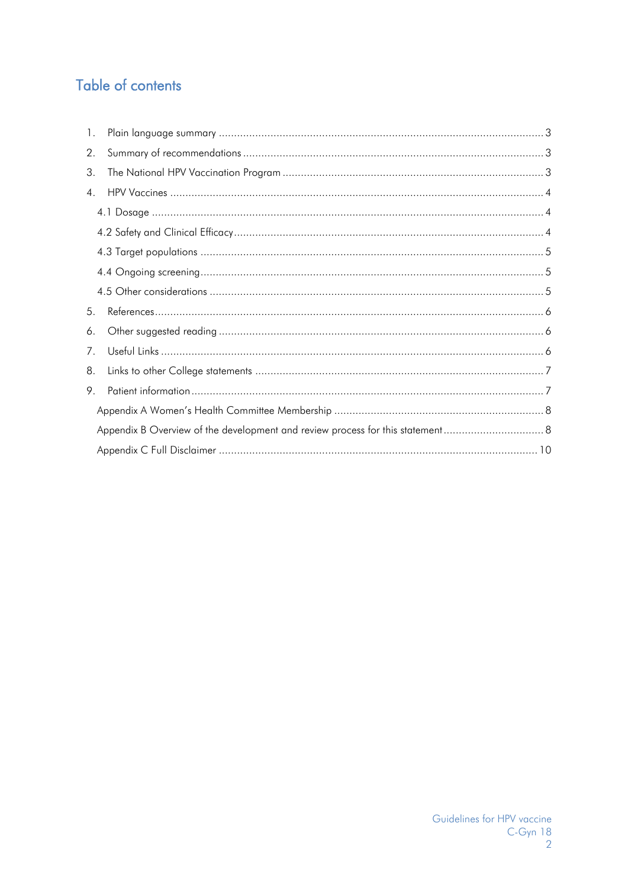## Table of contents

| $\mathbf{1}$ .   |  |
|------------------|--|
| 2.               |  |
| 3.               |  |
| $\overline{4}$ . |  |
|                  |  |
|                  |  |
|                  |  |
|                  |  |
|                  |  |
| 5.               |  |
| 6.               |  |
| 7.               |  |
| 8.               |  |
| 9.               |  |
|                  |  |
|                  |  |
|                  |  |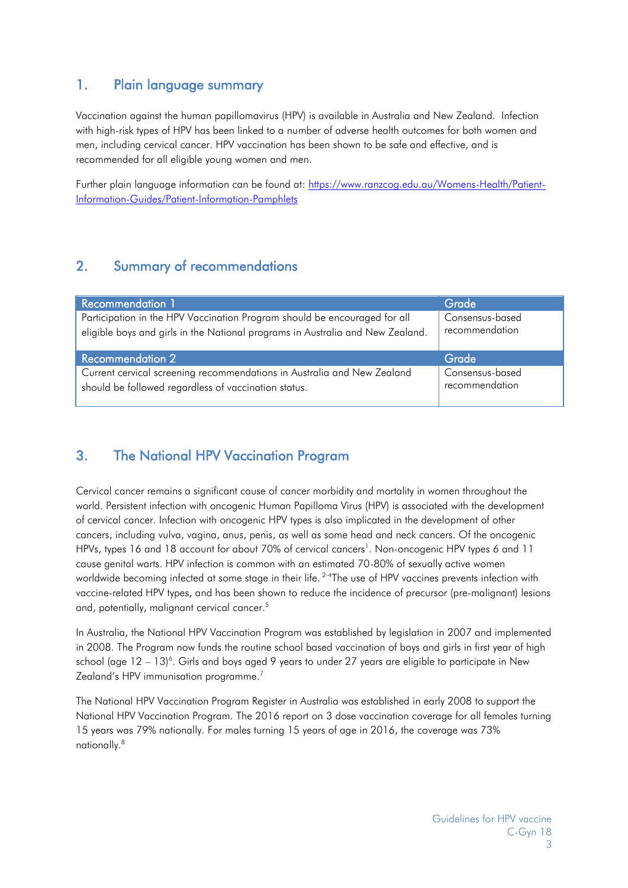### <span id="page-2-0"></span>1. Plain language summary

Vaccination against the human papillomavirus (HPV) is available in Australia and New Zealand. Infection with high-risk types of HPV has been linked to a number of adverse health outcomes for both women and men, including cervical cancer. HPV vaccination has been shown to be safe and effective, and is recommended for all eligible young women and men.

Further plain language information can be found at: [https://www.ranzcog.edu.au/Womens-Health/Patient-](https://www.ranzcog.edu.au/Womens-Health/Patient-Information-Guides/Patient-Information-Pamphlets)[Information-Guides/Patient-Information-Pamphlets](https://www.ranzcog.edu.au/Womens-Health/Patient-Information-Guides/Patient-Information-Pamphlets) 

### <span id="page-2-1"></span>2. Summary of recommendations

| Recommendation 1                                                               | Grade           |
|--------------------------------------------------------------------------------|-----------------|
| Participation in the HPV Vaccination Program should be encouraged for all      | Consensus-based |
| eligible boys and girls in the National programs in Australia and New Zealand. | recommendation  |
|                                                                                |                 |
|                                                                                |                 |
| <b>Recommendation 2</b>                                                        | Grade           |
| Current cervical screening recommendations in Australia and New Zealand        | Consensus-based |
| should be followed regardless of vaccination status.                           | recommendation  |

### <span id="page-2-2"></span>3. The National HPV Vaccination Program

Cervical cancer remains a significant cause of cancer morbidity and mortality in women throughout the world. Persistent infection with oncogenic Human Papilloma Virus (HPV) is associated with the development of cervical cancer. Infection with oncogenic HPV types is also implicated in the development of other cancers, including vulva, vagina, anus, penis, as well as some head and neck cancers. Of the oncogenic HPVs, types 16 and 18 account for about 70% of cervical cancers<sup>1</sup>[.](#page-5-3) Non-oncogenic HPV types 6 and 11 cause genital warts. HPV infection is common with an estimated 70-80% of sexually active women worldwide becoming infected at some stage in their life. <sup>[2-4](#page-5-4)</sup>The use of HPV vaccines prevents infection with vaccine-related HPV types, and has been shown to reduce the incidence of precursor (pre-malignant) lesions and, potentially, malignant cervical cancer[.](#page-5-5)<sup>5</sup>

In Australia, the National HPV Vaccination Program was established by legislation in 2007 and implemented in 2008. The Program now funds the routine school based vaccination of boys and girls in first year of high school (age 12 – 13)<sup>6</sup>[.](#page-5-6) Girls and boys aged 9 years to under 27 years are eligible to participate in New Zealand's HPV immunisation programme[.](#page-5-7)<sup>7</sup>

The National HPV Vaccination Program Register in Australia was established in early 2008 to support the National HPV Vaccination Program. The 2016 report on 3 dose vaccination coverage for all females turning 15 years was 79% nationally. For males turning 15 years of age in 2016, the coverage was 73% nationally.[8](#page-5-8)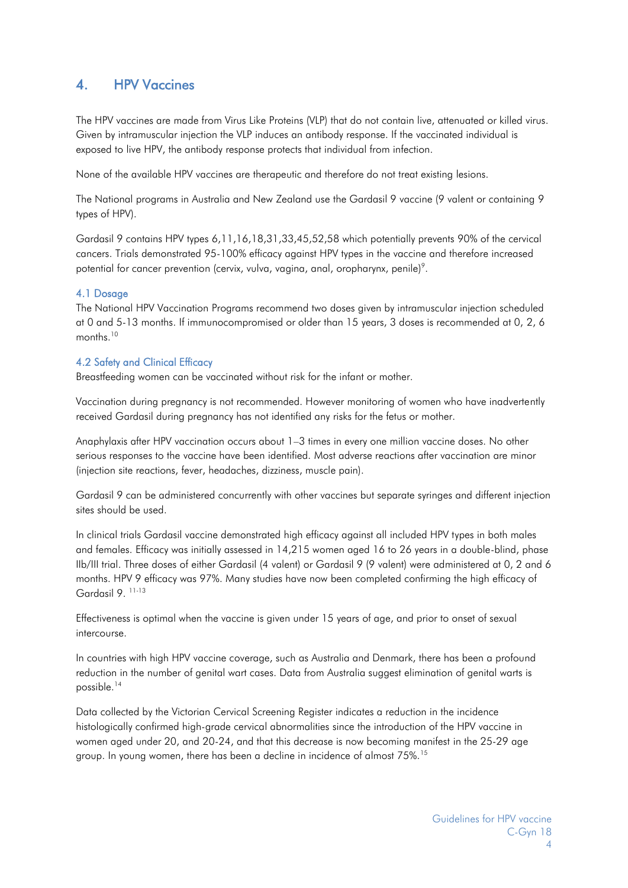### <span id="page-3-0"></span>4. HPV Vaccines

The HPV vaccines are made from Virus Like Proteins (VLP) that do not contain live, attenuated or killed virus. Given by intramuscular injection the VLP induces an antibody response. If the vaccinated individual is exposed to live HPV, the antibody response protects that individual from infection.

None of the available HPV vaccines are therapeutic and therefore do not treat existing lesions.

The National programs in Australia and New Zealand use the Gardasil 9 vaccine (9 valent or containing 9 types of HPV).

Gardasil 9 contains HPV types 6,11,16,18,31,33,45,52,58 which potentially prevents 90% of the cervical cancers. Trials demonstrated 95-100% efficacy against HPV types in the vaccine and therefore increased potential for cancer prevention (cervix, vulva, vagina, anal, oropharynx, penile[\)](#page-5-9)<sup>9</sup>.

#### <span id="page-3-1"></span>4.1 Dosage

The National HPV Vaccination Programs recommend two doses given by intramuscular injection scheduled at 0 and 5-13 months. If immunocompromised or older than 15 years, 3 doses is recommended at 0, 2, 6 months.<sup>[10](#page-5-10)</sup>

#### <span id="page-3-2"></span>4.2 Safety and Clinical Efficacy

Breastfeeding women can be vaccinated without risk for the infant or mother.

Vaccination during pregnancy is not recommended. However monitoring of women who have inadvertently received Gardasil during pregnancy has not identified any risks for the fetus or mother.

Anaphylaxis after HPV vaccination occurs about 1–3 times in every one million vaccine doses. No other serious responses to the vaccine have been identified. Most adverse reactions after vaccination are minor (injection site reactions, fever, headaches, dizziness, muscle pain).

Gardasil 9 can be administered concurrently with other vaccines but separate syringes and different injection sites should be used.

In clinical trials Gardasil vaccine demonstrated high efficacy against all included HPV types in both males and females. Efficacy was initially assessed in 14,215 women aged 16 to 26 years in a double-blind, phase IIb/III trial. Three doses of either Gardasil (4 valent) or Gardasil 9 (9 valent) were administered at 0, 2 and 6 months. HPV 9 efficacy was 97%. Many studies have now been completed confirming the high efficacy of Gardasil 9. [11-13](#page-5-11)

Effectiveness is optimal when the vaccine is given under 15 years of age, and prior to onset of sexual intercourse.

In countries with high HPV vaccine coverage, such as Australia and Denmark, there has been a profound reduction in the number of genital wart cases. Data from Australia suggest elimination of genital warts is possible.[14](#page-5-12)

Data collected by the Victorian Cervical Screening Register indicates a reduction in the incidence histologically confirmed high-grade cervical abnormalities since the introduction of the HPV vaccine in women aged under 20, and 20-24, and that this decrease is now becoming manifest in the 25-29 age group. In young women, there has been a decline in incidence of almost 75%.[15](#page-5-13)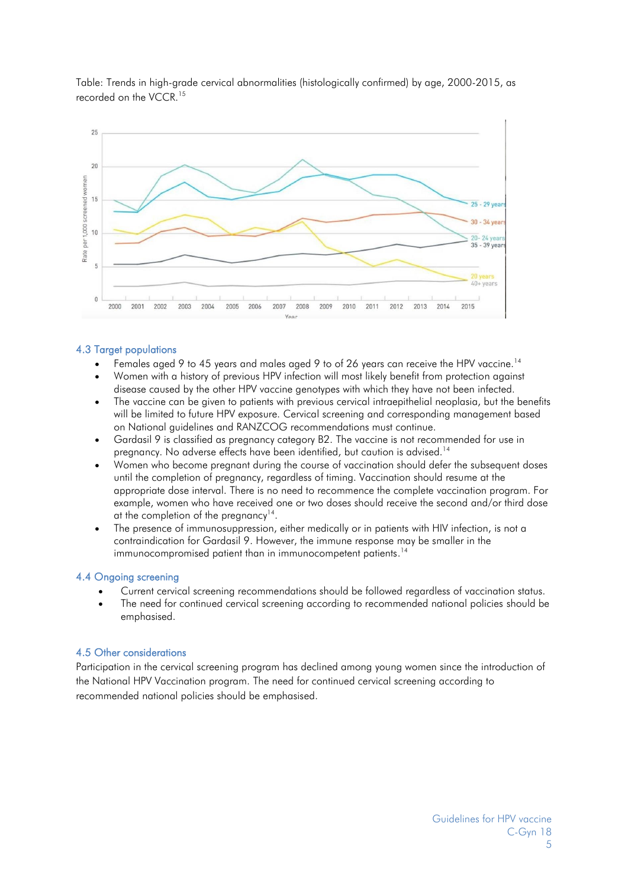Table: Trends in high-grade cervical abnormalities (histologically confirmed) by age, 2000-2015, as recorded on the VCCR.<sup>[15](#page-5-13)</sup>



#### <span id="page-4-0"></span>4.3 Target populations

- Females aged 9 to 45 years and males aged 9 to of 26 years can receive the HPV vaccine.<sup>[14](#page-5-12)</sup>
- Women with a history of previous HPV infection will most likely benefit from protection against disease caused by the other HPV vaccine genotypes with which they have not been infected.
- The vaccine can be given to patients with previous cervical intraepithelial neoplasia, but the benefits will be limited to future HPV exposure. Cervical screening and corresponding management based on National guidelines and RANZCOG recommendations must continue.
- Gardasil 9 is classified as pregnancy category B2. The vaccine is not recommended for use in pregnancy. No adverse effects have been identified, but caution is advised.<sup>[14](#page-5-12)</sup>
- Women who become pregnant during the course of vaccination should defer the subsequent doses until the completion of pregnancy, regardless of timing. Vaccination should resume at the appropriate dose interval. There is no need to recommence the complete vaccination program. For example, women who have received one or two doses should receive the second and/or third dose at the completion of the pregnancy<sup>[14](#page-5-12)</sup>.
- The presence of immunosuppression, either medically or in patients with HIV infection, is not a contraindication for Gardasil 9. However, the immune response may be smaller in the immunocompromised patient than in immunocompetent patients.<sup>[14](#page-5-12)</sup>

#### <span id="page-4-1"></span>4.4 Ongoing screening

- Current cervical screening recommendations should be followed regardless of vaccination status.
- The need for continued cervical screening according to recommended national policies should be emphasised.

#### <span id="page-4-2"></span>4.5 Other considerations

Participation in the cervical screening program has declined among young women since the introduction of the National HPV Vaccination program. The need for continued cervical screening according to recommended national policies should be emphasised.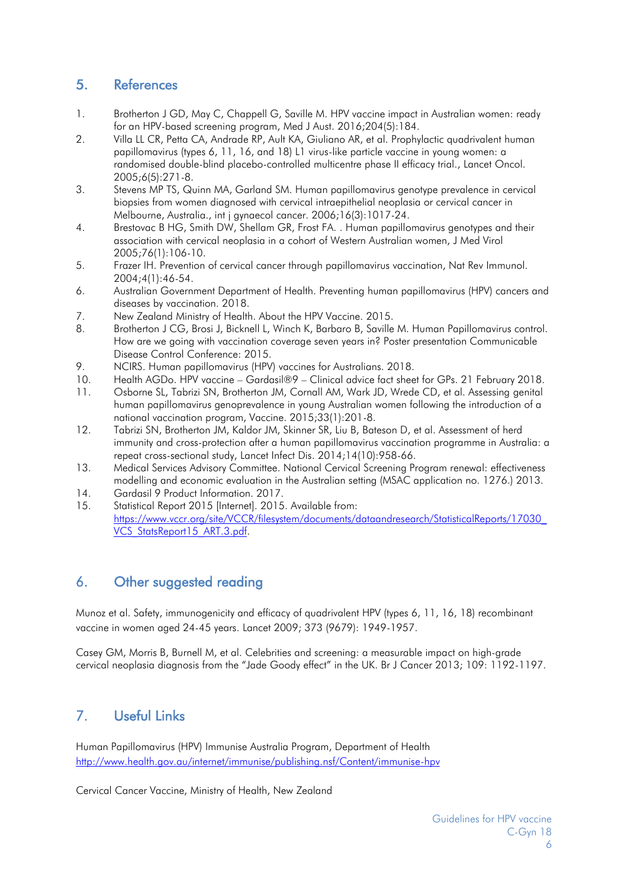### <span id="page-5-0"></span>5. References

- <span id="page-5-3"></span>1. Brotherton J GD, May C, Chappell G, Saville M. HPV vaccine impact in Australian women: ready for an HPV-based screening program, Med J Aust. 2016;204(5):184.
- <span id="page-5-4"></span>2. Villa LL CR, Petta CA, Andrade RP, Ault KA, Giuliano AR, et al. Prophylactic quadrivalent human papillomavirus (types 6, 11, 16, and 18) L1 virus-like particle vaccine in young women: a randomised double-blind placebo-controlled multicentre phase II efficacy trial., Lancet Oncol. 2005;6(5):271-8.
- 3. Stevens MP TS, Quinn MA, Garland SM. Human papillomavirus genotype prevalence in cervical biopsies from women diagnosed with cervical intraepithelial neoplasia or cervical cancer in Melbourne, Australia., int j gynaecol cancer. 2006;16(3):1017-24.
- 4. Brestovac B HG, Smith DW, Shellam GR, Frost FA. . Human papillomavirus genotypes and their association with cervical neoplasia in a cohort of Western Australian women, J Med Virol 2005;76(1):106-10.
- <span id="page-5-5"></span>5. Frazer IH. Prevention of cervical cancer through papillomavirus vaccination, Nat Rev Immunol. 2004;4(1):46-54.
- <span id="page-5-6"></span>6. Australian Government Department of Health. Preventing human papillomavirus (HPV) cancers and diseases by vaccination. 2018.
- <span id="page-5-7"></span>7. New Zealand Ministry of Health. About the HPV Vaccine. 2015.
- <span id="page-5-8"></span>8. Brotherton J CG, Brosi J, Bicknell L, Winch K, Barbaro B, Saville M. Human Papillomavirus control. How are we going with vaccination coverage seven years in? Poster presentation Communicable Disease Control Conference: 2015.
- <span id="page-5-9"></span>9. NCIRS. Human papillomavirus (HPV) vaccines for Australians. 2018.
- <span id="page-5-10"></span>10. Health AGDo. HPV vaccine – Gardasil®9 – Clinical advice fact sheet for GPs. 21 February 2018.
- <span id="page-5-11"></span>11. Osborne SL, Tabrizi SN, Brotherton JM, Cornall AM, Wark JD, Wrede CD, et al. Assessing genital human papillomavirus genoprevalence in young Australian women following the introduction of a national vaccination program, Vaccine. 2015;33(1):201-8.
- 12. Tabrizi SN, Brotherton JM, Kaldor JM, Skinner SR, Liu B, Bateson D, et al. Assessment of herd immunity and cross-protection after a human papillomavirus vaccination programme in Australia: a repeat cross-sectional study, Lancet Infect Dis. 2014;14(10):958-66.
- 13. Medical Services Advisory Committee. National Cervical Screening Program renewal: effectiveness modelling and economic evaluation in the Australian setting (MSAC application no. 1276.) 2013.
- <span id="page-5-12"></span>14. Gardasil 9 Product Information. 2017.
- <span id="page-5-13"></span>15. Statistical Report 2015 [Internet]. 2015. Available from: [https://www.vccr.org/site/VCCR/filesystem/documents/dataandresearch/StatisticalReports/17030\\_](https://www.vccr.org/site/VCCR/filesystem/documents/dataandresearch/StatisticalReports/17030_VCS_StatsReport15_ART.3.pdf) VCS StatsReport15 ART.3.pdf.

### <span id="page-5-1"></span>6. Other suggested reading

Munoz et al. Safety, immunogenicity and efficacy of quadrivalent HPV (types 6, 11, 16, 18) recombinant vaccine in women aged 24-45 years. Lancet 2009; 373 (9679): 1949-1957.

Casey GM, Morris B, Burnell M, et al. Celebrities and screening: a measurable impact on high-grade cervical neoplasia diagnosis from the "Jade Goody effect" in the UK. Br J Cancer 2013; 109: 1192-1197.

### <span id="page-5-2"></span>7. Useful Links

Human Papillomavirus (HPV) Immunise Australia Program, Department of Health <http://www.health.gov.au/internet/immunise/publishing.nsf/Content/immunise-hpv>

Cervical Cancer Vaccine, Ministry of Health, New Zealand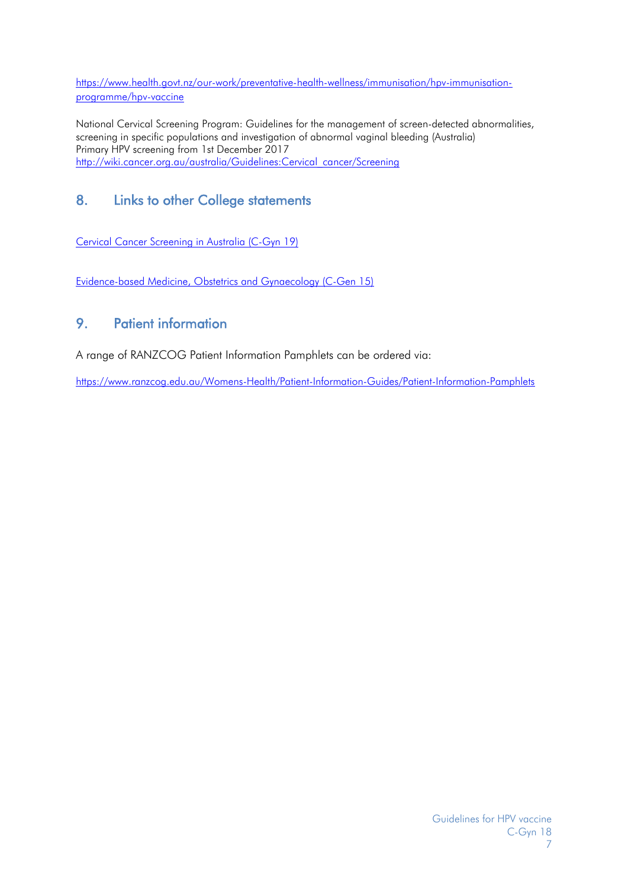[https://www.health.govt.nz/our-work/preventative-health-wellness/immunisation/hpv-immunisation](https://www.health.govt.nz/our-work/preventative-health-wellness/immunisation/hpv-immunisation-programme/hpv-vaccine)[programme/hpv-vaccine](https://www.health.govt.nz/our-work/preventative-health-wellness/immunisation/hpv-immunisation-programme/hpv-vaccine)

National Cervical Screening Program: Guidelines for the management of screen-detected abnormalities, screening in specific populations and investigation of abnormal vaginal bleeding (Australia) Primary HPV screening from 1st December 2017 [http://wiki.cancer.org.au/australia/Guidelines:Cervical\\_cancer/Screening](http://wiki.cancer.org.au/australia/Guidelines:Cervical_cancer/Screening)

### <span id="page-6-0"></span>8. Links to other College statements

[Cervical Cancer Screening in Australia \(C-Gyn 19\)](https://www.ranzcog.edu.au/RANZCOG_SITE/media/RANZCOG-MEDIA/Women%27s%20Health/Statement%20and%20guidelines/Clinical%20-%20Gynaecology/Cervical-Cancer-Screening-in-Australia-(C-Gyn-19)-Jul-2014.pdf?ext=.pdf)

[Evidence-based Medicine, Obstetrics and Gynaecology](https://www.ranzcog.edu.au/RANZCOG_SITE/media/RANZCOG-MEDIA/Women%27s%20Health/Statement%20and%20guidelines/Clinical%20-%20General/Evidence-based-medicine,-Obstetrics-and-Gynaecology-(C-Gen-15)-Review-March-2016.pdf?ext=.pdf) (C-Gen 15)

### <span id="page-6-1"></span>9. Patient information

A range of RANZCOG Patient Information Pamphlets can be ordered via:

<https://www.ranzcog.edu.au/Womens-Health/Patient-Information-Guides/Patient-Information-Pamphlets>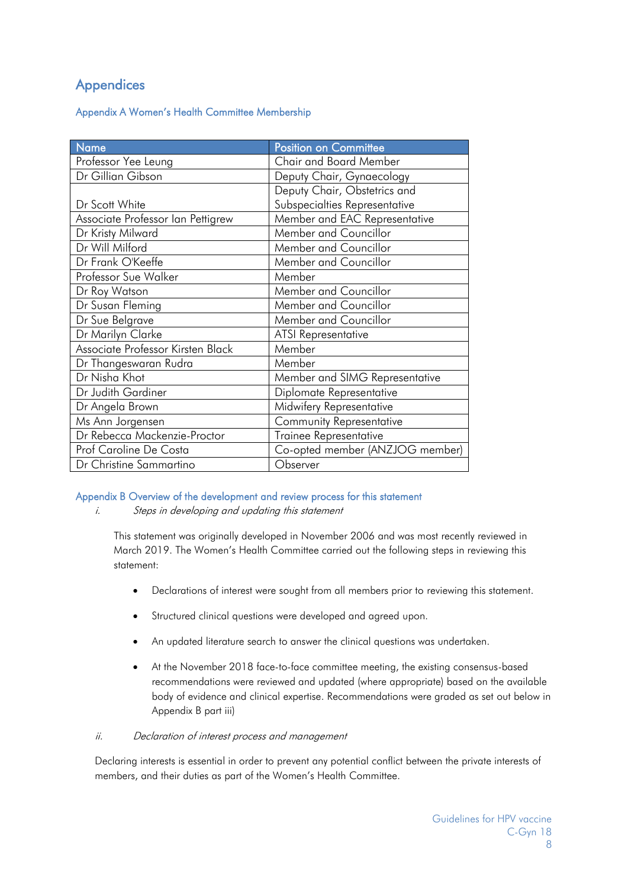### Appendices

#### <span id="page-7-0"></span>Appendix A Women's Health Committee Membership

| Name                              | <b>Position on Committee</b>    |
|-----------------------------------|---------------------------------|
| Professor Yee Leung               | <b>Chair and Board Member</b>   |
| Dr Gillian Gibson                 | Deputy Chair, Gynaecology       |
|                                   | Deputy Chair, Obstetrics and    |
| Dr Scott White                    | Subspecialties Representative   |
| Associate Professor Ian Pettigrew | Member and EAC Representative   |
| Dr Kristy Milward                 | Member and Councillor           |
| Dr Will Milford                   | Member and Councillor           |
| Dr Frank O'Keeffe                 | Member and Councillor           |
| Professor Sue Walker              | Member                          |
| Dr Roy Watson                     | Member and Councillor           |
| Dr Susan Fleming                  | Member and Councillor           |
| Dr Sue Belgrave                   | Member and Councillor           |
| Dr Marilyn Clarke                 | <b>ATSI Representative</b>      |
| Associate Professor Kirsten Black | Member                          |
| Dr Thangeswaran Rudra             | Member                          |
| Dr Nisha Khot                     | Member and SIMG Representative  |
| Dr Judith Gardiner                | Diplomate Representative        |
| Dr Angela Brown                   | Midwifery Representative        |
| Ms Ann Jorgensen                  | <b>Community Representative</b> |
| Dr Rebecca Mackenzie-Proctor      | Trainee Representative          |
| Prof Caroline De Costa            | Co-opted member (ANZJOG member) |
| Dr Christine Sammartino           | Observer                        |

#### <span id="page-7-1"></span>Appendix B Overview of the development and review process for this statement

i. Steps in developing and updating this statement

This statement was originally developed in November 2006 and was most recently reviewed in March 2019. The Women's Health Committee carried out the following steps in reviewing this statement:

- Declarations of interest were sought from all members prior to reviewing this statement.
- Structured clinical questions were developed and agreed upon.
- An updated literature search to answer the clinical questions was undertaken.
- At the November 2018 face-to-face committee meeting, the existing consensus-based recommendations were reviewed and updated (where appropriate) based on the available body of evidence and clinical expertise. Recommendations were graded as set out below in Appendix B part iii)

#### ii. Declaration of interest process and management

Declaring interests is essential in order to prevent any potential conflict between the private interests of members, and their duties as part of the Women's Health Committee.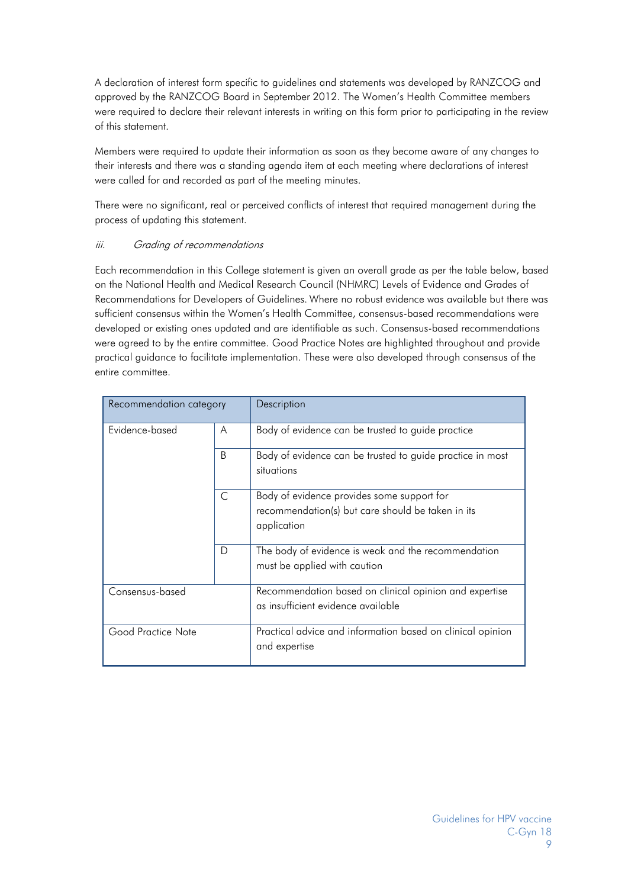A declaration of interest form specific to guidelines and statements was developed by RANZCOG and approved by the RANZCOG Board in September 2012. The Women's Health Committee members were required to declare their relevant interests in writing on this form prior to participating in the review of this statement.

Members were required to update their information as soon as they become aware of any changes to their interests and there was a standing agenda item at each meeting where declarations of interest were called for and recorded as part of the meeting minutes.

There were no significant, real or perceived conflicts of interest that required management during the process of updating this statement.

#### iii. Grading of recommendations

Each recommendation in this College statement is given an overall grade as per the table below, based on the National Health and Medical Research Council (NHMRC) Levels of Evidence and Grades of Recommendations for Developers of Guidelines. Where no robust evidence was available but there was sufficient consensus within the Women's Health Committee, consensus-based recommendations were developed or existing ones updated and are identifiable as such. Consensus-based recommendations were agreed to by the entire committee. Good Practice Notes are highlighted throughout and provide practical guidance to facilitate implementation. These were also developed through consensus of the entire committee.

| Recommendation category |              | Description                                                                                                    |
|-------------------------|--------------|----------------------------------------------------------------------------------------------------------------|
| Evidence-based          | A            | Body of evidence can be trusted to guide practice                                                              |
|                         | <sub>B</sub> | Body of evidence can be trusted to guide practice in most<br>situations                                        |
|                         | C            | Body of evidence provides some support for<br>recommendation(s) but care should be taken in its<br>application |
|                         | D            | The body of evidence is weak and the recommendation<br>must be applied with caution                            |
| Consensus-based         |              | Recommendation based on clinical opinion and expertise<br>as insufficient evidence available                   |
| Good Practice Note      |              | Practical advice and information based on clinical opinion<br>and expertise                                    |